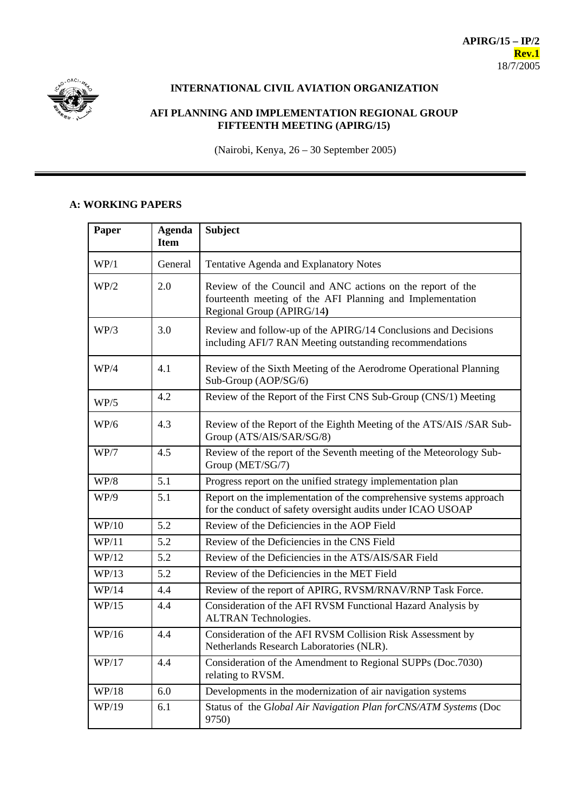

## **INTERNATIONAL CIVIL AVIATION ORGANIZATION**

## **AFI PLANNING AND IMPLEMENTATION REGIONAL GROUP FIFTEENTH MEETING (APIRG/15)**

(Nairobi, Kenya, 26 – 30 September 2005)

## **A: WORKING PAPERS**

| Paper | <b>Agenda</b><br><b>Item</b> | <b>Subject</b>                                                                                                                                       |
|-------|------------------------------|------------------------------------------------------------------------------------------------------------------------------------------------------|
| WP/1  | General                      | Tentative Agenda and Explanatory Notes                                                                                                               |
| WP/2  | 2.0                          | Review of the Council and ANC actions on the report of the<br>fourteenth meeting of the AFI Planning and Implementation<br>Regional Group (APIRG/14) |
| WP/3  | 3.0                          | Review and follow-up of the APIRG/14 Conclusions and Decisions<br>including AFI/7 RAN Meeting outstanding recommendations                            |
| WP/4  | 4.1                          | Review of the Sixth Meeting of the Aerodrome Operational Planning<br>Sub-Group (AOP/SG/6)                                                            |
| WP/5  | 4.2                          | Review of the Report of the First CNS Sub-Group (CNS/1) Meeting                                                                                      |
| WP/6  | 4.3                          | Review of the Report of the Eighth Meeting of the ATS/AIS /SAR Sub-<br>Group (ATS/AIS/SAR/SG/8)                                                      |
| WP/7  | 4.5                          | Review of the report of the Seventh meeting of the Meteorology Sub-<br>Group (MET/SG/7)                                                              |
| WP/8  | 5.1                          | Progress report on the unified strategy implementation plan                                                                                          |
| WP/9  | 5.1                          | Report on the implementation of the comprehensive systems approach<br>for the conduct of safety oversight audits under ICAO USOAP                    |
| WP/10 | 5.2                          | Review of the Deficiencies in the AOP Field                                                                                                          |
| WP/11 | 5.2                          | Review of the Deficiencies in the CNS Field                                                                                                          |
| WP/12 | 5.2                          | Review of the Deficiencies in the ATS/AIS/SAR Field                                                                                                  |
| WP/13 | 5.2                          | Review of the Deficiencies in the MET Field                                                                                                          |
| WP/14 | 4.4                          | Review of the report of APIRG, RVSM/RNAV/RNP Task Force.                                                                                             |
| WP/15 | 4.4                          | Consideration of the AFI RVSM Functional Hazard Analysis by<br><b>ALTRAN Technologies.</b>                                                           |
| WP/16 | 4.4                          | Consideration of the AFI RVSM Collision Risk Assessment by<br>Netherlands Research Laboratories (NLR).                                               |
| WP/17 | 4.4                          | Consideration of the Amendment to Regional SUPPs (Doc.7030)<br>relating to RVSM.                                                                     |
| WP/18 | 6.0                          | Developments in the modernization of air navigation systems                                                                                          |
| WP/19 | 6.1                          | Status of the Global Air Navigation Plan for CNS/ATM Systems (Doc<br>9750)                                                                           |